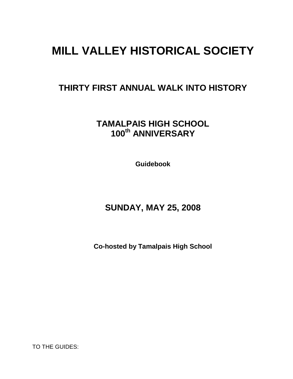# **MILL VALLEY HISTORICAL SOCIETY**

## **THIRTY FIRST ANNUAL WALK INTO HISTORY**

**TAMALPAIS HIGH SCHOOL 100th ANNIVERSARY**

**Guidebook**

## **SUNDAY, MAY 25, 2008**

**Co-hosted by Tamalpais High School**

TO THE GUIDES: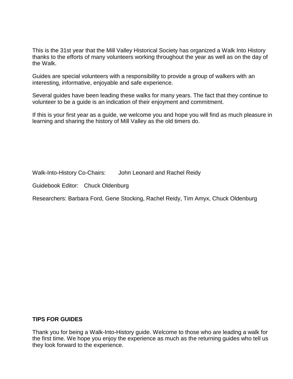This is the 31st year that the Mill Valley Historical Society has organized a Walk Into History thanks to the efforts of many volunteers working throughout the year as well as on the day of the Walk.

Guides are special volunteers with a responsibility to provide a group of walkers with an interesting, informative, enjoyable and safe experience.

Several guides have been leading these walks for many years. The fact that they continue to volunteer to be a guide is an indication of their enjoyment and commitment.

If this is your first year as a guide, we welcome you and hope you will find as much pleasure in learning and sharing the history of Mill Valley as the old timers do.

Walk-Into-History Co-Chairs: John Leonard and Rachel Reidy

Guidebook Editor: Chuck Oldenburg

Researchers: Barbara Ford, Gene Stocking, Rachel Reidy, Tim Amyx, Chuck Oldenburg

#### **TIPS FOR GUIDES**

Thank you for being a Walk-Into-History guide. Welcome to those who are leading a walk for the first time. We hope you enjoy the experience as much as the returning guides who tell us they look forward to the experience.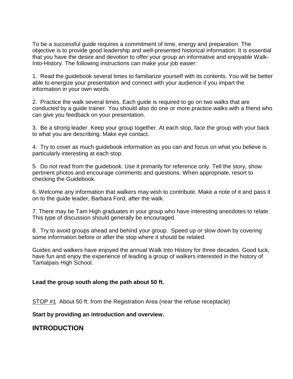To be a successful guide requires a commitment of time, energy and preparation. The objective is to provide good leadership and well-presented historical information. It is essential that you have the desire and devotion to offer your group an informative and enjoyable Walk-Into-History. The following instructions can make your job easier:

1. Read the guidebook several times to familiarize yourself with its contents. You will be better able to energize your presentation and connect with your audience if you impart the information in your own words.

2. Practice the walk several times. Each guide is required to go on two walks that are conducted by a guide trainer. You should also do one or more practice walks with a friend who can give you feedback on your presentation.

3. Be a strong leader. Keep your group together. At each stop, face the group with your back to what you are describing. Make eye contact.

4. Try to cover as much guidebook information as you can and focus on what you believe is particularly interesting at each stop.

5. Do not read from the guidebook. Use it primarily for reference only. Tell the story, show pertinent photos and encourage comments and questions. When appropriate, resort to checking the Guidebook.

6. Welcome any information that walkers may wish to contribute. Make a note of it and pass it on to the guide leader, Barbara Ford, after the walk.

7. There may be Tam High graduates in your group who have interesting anecdotes to relate. This type of discussion should generally be encouraged.

8. Try to avoid groups ahead and behind your group. Speed up or slow down by covering some information before or after the stop where it should be related.

Guides and walkers have enjoyed the annual Walk Into History for three decades. Good luck, have fun and enjoy the experience of leading a group of walkers interested in the history of Tamalpais High School.

#### **Lead the group south along the path about 50 ft.**

STOP #1 About 50 ft. from the Registration Area (near the refuse receptacle)

**Start by providing an introduction and overview.**

### **INTRODUCTION**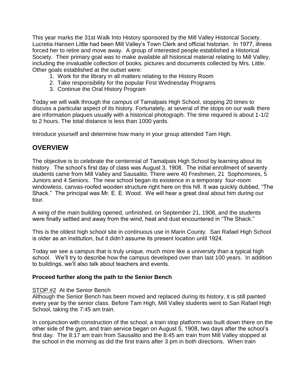This year marks the 31st Walk Into History sponsored by the Mill Valley Historical Society. Lucretia Hansen Little had been Mill Valley's Town Clerk and official historian. In 1977, illness forced her to retire and move away. A group of interested people established a Historical Society. Their primary goal was to make available all historical material relating to Mill Valley, including the invaluable collection of books, pictures and documents collected by Mrs. Little. Other goals established at the outset were:

- 1. Work for the library in all matters relating to the History Room
- 2. Take responsibility for the popular First Wednesday Programs
- 3. Continue the Oral History Program

Today we will walk through the campus of Tamalpais High School, stopping 20 times to discuss a particular aspect of its history. Fortunately, at several of the stops on our walk there are information plaques usually with a historical photograph. The time required is about 1-1/2 to 2 hours. The total distance is less than 1000 yards.

Introduce yourself and determine how many in your group attended Tam High.

### **OVERVIEW**

The objective is to celebrate the centennial of Tamalpais High School by learning about its history. The school's first day of class was August 3, 1908. The initial enrollment of seventy students came from Mill Valley and Sausalito. There were 40 Freshmen, 21 Sophomores, 5 Juniors and 4 Seniors. The new school began its existence in a temporary four-room windowless, canvas-roofed wooden structure right here on this hill. It was quickly dubbed, "The Shack." The principal was Mr. E. E. Wood. We will hear a great deal about him during our tour.

A wing of the main building opened, unfinished, on September 21, 1908, and the students were finally settled and away from the wind, heat and dust encountered in "The Shack."

This is the oldest high school site in continuous use in Marin County. San Rafael High School is older as an institution, but it didn't assume its present location until 1924.

Today we see a campus that is truly unique, much more like a university than a typical high school. We'll try to describe how the campus developed over than last 100 years. In addition to buildings, we'll also talk about teachers and events.

#### **Proceed further along the path to the Senior Bench**

#### **STOP #2** At the Senior Bench

Although the Senior Bench has been moved and replaced during its history, it is still painted every year by the senior class. Before Tam High, Mill Valley students went to San Rafael High School, taking the 7:45 am train.

In conjunction with construction of the school, a train stop platform was built down there on the other side of the gym, and train service began on August 5, 1908, two days after the school's first day. The 8:17 am train from Sausalito and the 8:45 am train from Mill Valley stopped at the school in the morning as did the first trains after 3 pm in both directions. When train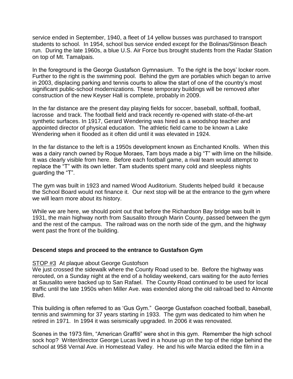service ended in September, 1940, a fleet of 14 yellow busses was purchased to transport students to school. In 1954, school bus service ended except for the Bolinas/Stinson Beach run. During the late 1960s, a blue U.S. Air Force bus brought students from the Radar Station on top of Mt. Tamalpais.

In the foreground is the George Gustafson Gymnasium. To the right is the boys' locker room. Further to the right is the swimming pool. Behind the gym are portables which began to arrive in 2003, displacing parking and tennis courts to allow the start of one of the country's most significant public-school modernizations. These temporary buildings will be removed after construction of the new Keyser Hall is complete, probably in 2009.

In the far distance are the present day playing fields for soccer, baseball, softball, football, lacrosse and track. The football field and track recently re-opened with state-of-the-art synthetic surfaces. In 1917, Gerard Wendering was hired as a woodshop teacher and appointed director of physical education. The athletic field came to be known a Lake Wendering when it flooded as it often did until it was elevated in 1924.

In the far distance to the left is a 1950s development known as Enchanted Knolls. When this was a dairy ranch owned by Roque Moraes, Tam boys made a big "T" with lime on the hillside. It was clearly visible from here. Before each football game, a rival team would attempt to replace the "T" with its own letter. Tam students spent many cold and sleepless nights guarding the "T".

The gym was built in 1923 and named Wood Auditorium. Students helped build it because the School Board would not finance it. Our next stop will be at the entrance to the gym where we will learn more about its history.

While we are here, we should point out that before the Richardson Bay bridge was built in 1931, the main highway north from Sausalito through Marin County, passed between the gym and the rest of the campus. The railroad was on the north side of the gym, and the highway went past the front of the building.

#### **Descend steps and proceed to the entrance to Gustafson Gym**

#### STOP #3 At plaque about George Gustofson

We just crossed the sidewalk where the County Road used to be. Before the highway was rerouted, on a Sunday night at the end of a holiday weekend, cars waiting for the auto ferries at Sausalito were backed up to San Rafael. The County Road continued to be used for local traffic until the late 1950s when Miller Ave. was extended along the old railroad bed to Almonte Blvd.

This building is often referred to as 'Gus Gym." George Gustafson coached football, baseball, tennis and swimming for 37 years starting in 1933. The gym was dedicated to him when he retired in 1971. In 1994 it was seismically upgraded. In 2006 it was renovated.

Scenes in the 1973 film, "American Graffiti" were shot in this gym. Remember the high school sock hop? Writer/director George Lucas lived in a house up on the top of the ridge behind the school at 958 Vernal Ave. in Homestead Valley. He and his wife Marcia edited the film in a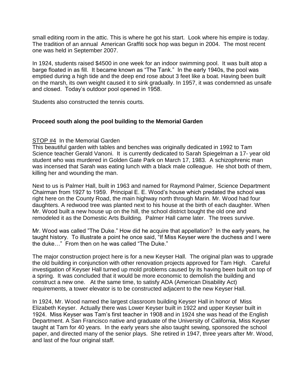small editing room in the attic. This is where he got his start. Look where his empire is today. The tradition of an annual American Graffiti sock hop was begun in 2004. The most recent one was held in September 2007.

In 1924, students raised \$4500 in one week for an indoor swimming pool. It was built atop a barge floated in as fill. It became known as "The Tank." In the early 1940s, the pool was emptied during a high tide and the deep end rose about 3 feet like a boat. Having been built on the marsh, its own weight caused it to sink gradually. In 1957, it was condemned as unsafe and closed. Today's outdoor pool opened in 1958.

Students also constructed the tennis courts.

#### **Proceed south along the pool building to the Memorial Garden**

#### **STOP #4** In the Memorial Garden

This beautiful garden with tables and benches was originally dedicated in 1992 to Tam Science teacher Gerald Vanoni. It is currently dedicated to Sarah Spiegelman a 17- year old student who was murdered in Golden Gate Park on March 17, 1983. A schizophrenic man was incensed that Sarah was eating lunch with a black male colleague. He shot both of them, killing her and wounding the man.

Next to us is Palmer Hall, built in 1963 and named for Raymond Palmer, Science Department Chairman from 1927 to 1959. Principal E. E. Wood's house which predated the school was right here on the County Road, the main highway north through Marin. Mr. Wood had four daughters. A redwood tree was planted next to his house at the birth of each daughter. When Mr. Wood built a new house up on the hill, the school district bought the old one and remodeled it as the Domestic Arts Building. Palmer Hall came later. The trees survive.

Mr. Wood was called "The Duke." How did he acquire that appellation? In the early years, he taught history. To illustrate a point he once said, "If Miss Keyser were the duchess and I were the duke..." From then on he was called "The Duke."

The major construction project here is for a new Keyser Hall. The original plan was to upgrade the old building in conjunction with other renovation projects approved for Tam High. Careful investigation of Keyser Hall turned up mold problems caused by its having been built on top of a spring. It was concluded that it would be more economic to demolish the building and construct a new one. At the same time, to satisfy ADA (American Disability Act) requirements, a tower elevator is to be constructed adjacent to the new Keyser Hall.

In 1924, Mr. Wood named the largest classroom building Keyser Hall in honor of Miss Elizabeth Keyser. Actually there was Lower Keyser built in 1922 and upper Keyser built in 1924. Miss Keyser was Tam's first teacher in 1908 and in 1924 she was head of the English Department. A San Francisco native and graduate of the University of California, Miss Keyser taught at Tam for 40 years. In the early years she also taught sewing, sponsored the school paper, and directed many of the senior plays. She retired in 1947, three years after Mr. Wood, and last of the four original staff.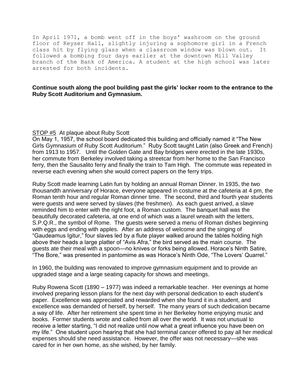In April 1971, a bomb went off in the boys' washroom on the ground floor of Keyser Hall, slightly injuring a sophomore girl in a French class hit by flying glass when a classroom window was blown out. It followed a bombing four days earlier at the downtown Mill Valley branch of the Bank of America. A student at the high school was later arrested for both incidents.

#### **Continue south along the pool building past the girls' locker room to the entrance to the Ruby Scott Auditorium and Gymnasium.**

#### STOP #5 At plaque about Ruby Scott

On May 1, 1957, the school board dedicated this building and officially named it "The New Girls Gymnasium of Ruby Scott Auditorium." Ruby Scott taught Latin (also Greek and French) from 1913 to 1957. Until the Golden Gate and Bay bridges were erected in the late 1930s, her commute from Berkeley involved taking a streetcar from her home to the San Francisco ferry, then the Sausalito ferry and finally the train to Tam High. The commute was repeated in reverse each evening when she would correct papers on the ferry trips.

Ruby Scott made learning Latin fun by holding an annual Roman Dinner. In 1935, the two thousandth anniversary of Horace, everyone appeared in costume at the cafeteria at 4 pm, the Roman tenth hour and regular Roman dinner time. The second, third and fourth year students were guests and were served by slaves (the freshmen). As each guest arrived, a slave reminded him to enter with the right foot, a Roman custom. The banquet hall was the beautifully decorated cafeteria, at one end of which was a laurel wreath with the letters, S.P.Q.R., the symbol of Rome. The guests were served a menu of Roman dishes beginning with eggs and ending with apples. After an address of welcome and the singing of "Gaudeamus Igitur," four slaves led by a flute player walked around the tables holding high above their heads a large platter of "Avis Afra," the bird served as the main course. The guests ate their meal with a spoon—no knives or forks being allowed. Horace's Ninth Satire, "The Bore," was presented in pantomime as was Horace's Ninth Ode, "The Lovers' Quarrel."

In 1960, the building was renovated to improve gymnasium equipment and to provide an upgraded stage and a large seating capacity for shows and meetings.

Ruby Rowena Scott (1890 – 1977) was indeed a remarkable teacher. Her evenings at home involved preparing lesson plans for the next day with personal dedication to each student's paper. Excellence was appreciated and rewarded when she found it in a student, and excellence was demanded of herself, by herself. The many years of such dedication became a way of life. After her retirement she spent time in her Berkeley home enjoying music and books. Former students wrote and called from all over the world. It was not unusual to receive a letter starting, "I did not realize until now what a great influence you have been on my life.‖ One student upon hearing that she had terminal cancer offered to pay all her medical expenses should she need assistance. However, the offer was not necessary—she was cared for in her own home, as she wished, by her family.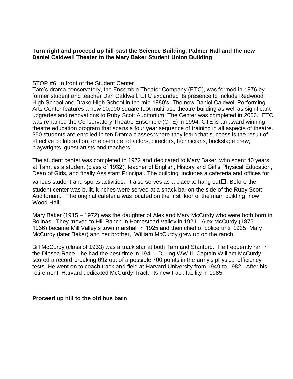#### **Turn right and proceed up hill past the Science Building, Palmer Hall and the new Daniel Caldwell Theater to the Mary Baker Student Union Building**

### STOP #6 In front of the Student Center

Tam's drama conservatory, the Ensemble Theater Company (ETC), was formed in 1976 by former student and teacher Dan Caldwell. ETC expanded its presence to include Redwood High School and Drake High School in the mid 1980's. The new Daniel Caldwell Performing Arts Center features a new 10,000 square foot multi-use theatre building as well as significant upgrades and renovations to Ruby Scott Auditorium. The Center was completed in 2006. ETC was renamed the Conservatory Theatre Ensemble (CTE) in 1994. CTE is an award winning theatre education program that spans a four year sequence of training in all aspects of theatre. 350 students are enrolled in ten Drama classes where they learn that success is the result of effective collaboration, or ensemble, of actors, directors, technicians, backstage crew, playwrights, guest artists and teachers.

The student center was completed in 1972 and dedicated to Mary Baker, who spent 40 years at Tam, as a student (class of 1932), teacher of English, History and Girl's Physical Education, Dean of Girls, and finally Assistant Principal. The building includes a cafeteria and offices for

various student and sports activities. It also serves as a place to hang out $\Box$ . Before the student center was built, lunches were served at a snack bar on the side of the Ruby Scott Auditorium. The original cafeteria was located on the first floor of the main building, now Wood Hall.

Mary Baker (1915 – 1972) was the daughter of Alex and Mary McCurdy who were both born in Bolinas. They moved to Hill Ranch in Homestead Valley in 1921. Alex McCurdy (1875 – 1936) became Mill Valley's town marshall in 1925 and then chief of police until 1935. Mary McCurdy (later Baker) and her brother, William McCurdy grew up on the ranch.

Bill McCurdy (class of 1933) was a track star at both Tam and Stanford. He frequently ran in the Dipsea Race—he had the best time in 1941. During WW II, Captain William McCurdy scored a record-breaking 692 out of a possible 700 points in the army's physical efficiency tests. He went on to coach track and field at Harvard University from 1949 to 1982. After his retirement, Harvard dedicated McCurdy Track, its new track facility in 1985.

#### **Proceed up hill to the old bus barn**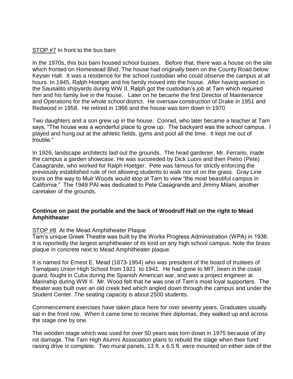#### STOP #7 In front to the bus barn

In the 1970s, this bus barn housed school busses. Before that, there was a house on the site which fronted on Homestead Blvd. The house had originally been on the County Road below Keyser Hall. It was a residence for the school custodian who could observe the campus at all hours. In 1945, Ralph Hoetger and his family moved into the house. After having worked in the Sausalito shipyards during WW II, Ralph got the custodian's job at Tam which required him and his family live in the house. Later on he became the first Director of Maintenance and Operations for the whole school district. He oversaw construction of Drake in 1951 and Redwood in 1958. He retired in 1966 and the house was torn down in 1970.

Two daughters and a son grew up in the house. Conrad, who later became a teacher at Tam says, "The house was a wonderful place to grow up. The backyard was the school campus. I played and hung out at the athletic fields, gyms and pool all the time. It kept me out of trouble."

In 1926, landscape architects laid out the grounds. The head gardener, Mr. Ferrario, made the campus a garden showcase. He was succeeded by Dick Luoni and then Pietro (Pete) Casagrande, who worked for Ralph Hoetger. Pete was famous for strictly enforcing the previously established rule of not allowing students to walk nor sit on the grass. Gray Line tours on the way to Muir Woods would stop at Tam to view "the most beautiful campus in California.‖ The 1949 PAI was dedicated to Pete Casagrande and Jimmy Milani, another caretaker of the grounds.

#### **Continue on past the portable and the back of Woodruff Hall on the right to Mead Amphitheater**

#### STOP #8 At the Mead Amphitheater Plaque

Tam's unique Greek Theatre was built by the Works Progress Administration (WPA) in 1936. It is reportedly the largest amphitheater of its kind on any high school campus. Note the brass plaque in concrete next to Mead Amphitheater plaque.

It is named for Ernest E. Mead (1873-1954) who was president of the board of trustees of Tamalpais Union High School from 1921 to 1941. He had gone to MIT, been in the coast guard, fought in Cuba during the Spanish American war, and was a project engineer at Marinship during WW II. Mr. Wood felt that he was one of Tam's most loyal supporters. The theater was built over an old creek bed which angled down through the campus and under the Student Center. The seating capacity is about 2500 students.

Commencement exercises have taken place here for over seventy years. Graduates usually sat in the front row. When it came time to receive their diplomas, they walked up and across the stage one by one.

The wooden stage which was used for over 50 years was torn down in 1975 because of dry rot damage. The Tam High Alumni Association plans to rebuild the stage when their fund raising drive is complete. Two mural panels, 13 ft. x 6.5 ft. were mounted on either side of the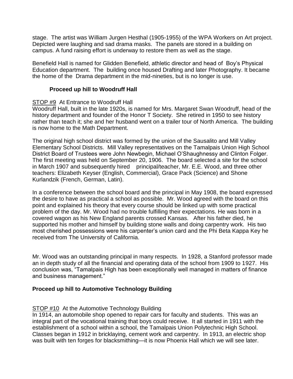stage. The artist was William Jurgen Hesthal (1905-1955) of the WPA Workers on Art project. Depicted were laughing and sad drama masks. The panels are stored in a building on campus. A fund raising effort is underway to restore them as well as the stage.

Benefield Hall is named for Glidden Benefield, athletic director and head of Boy's Physical Education department. The building once housed Drafting and later Photography. It became the home of the Drama department in the mid-nineties, but is no longer is use.

#### **Proceed up hill to Woodruff Hall**

#### STOP #9 At Entrance to Woodruff Hall

Woodruff Hall, built in the late 1920s, is named for Mrs. Margaret Swan Woodruff, head of the history department and founder of the Honor T Society. She retired in 1950 to see history rather than teach it; she and her husband went on a trailer tour of North America. The building is now home to the Math Department.

The original high school district was formed by the union of the Sausalito and Mill Valley Elementary School Districts. Mill Valley representatives on the Tamalpais Union High School District Board of Trustees were John Newbegin, Michael O'Shaughnessy and Clinton Folger. The first meeting was held on September 20, 1906. The board selected a site for the school in March 1907 and subsequently hired principal/teacher, Mr. E.E. Wood, and three other teachers: Elizabeth Keyser (English, Commercial), Grace Pack (Science) and Shone Kurlandzik (French, German, Latin).

In a conference between the school board and the principal in May 1908, the board expressed the desire to have as practical a school as possible. Mr. Wood agreed with the board on this point and explained his theory that every course should be linked up with some practical problem of the day. Mr. Wood had no trouble fulfilling their expectations. He was born in a covered wagon as his New England parents crossed Kansas. After his father died, he supported his mother and himself by building stone walls and doing carpentry work. His two most cherished possessions were his carpenter's union card and the Phi Beta Kappa Key he received from The University of California.

Mr. Wood was an outstanding principal in many respects. In 1928, a Stanford professor made an in depth study of all the financial and operating data of the school from 1909 to 1927. His conclusion was, "Tamalpais High has been exceptionally well managed in matters of finance and business management.‖

#### **Proceed up hill to Automotive Technology Building**

#### STOP #10 At the Automotive Technology Building

In 1914, an automobile shop opened to repair cars for faculty and students. This was an integral part of the vocational training that boys could receive. It all started in 1911 with the establishment of a school within a school, the Tamalpais Union Polytechnic High School. Classes began in 1912 in bricklaying, cement work and carpentry. In 1913, an electric shop was built with ten forges for blacksmithing—it is now Phoenix Hall which we will see later.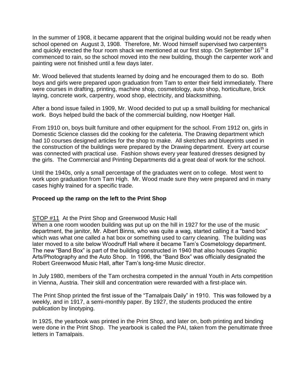In the summer of 1908, it became apparent that the original building would not be ready when school opened on August 3, 1908. Therefore, Mr. Wood himself supervised two carpenters and quickly erected the four room shack we mentioned at our first stop. On September 16<sup>th</sup> it commenced to rain, so the school moved into the new building, though the carpenter work and painting were not finished until a few days later.

Mr. Wood believed that students learned by doing and he encouraged them to do so. Both boys and girls were prepared upon graduation from Tam to enter their field immediately. There were courses in drafting, printing, machine shop, cosmetology, auto shop, horticulture, brick laying, concrete work, carpentry, wood shop, electricity, and blacksmithing.

After a bond issue failed in 1909, Mr. Wood decided to put up a small building for mechanical work. Boys helped build the back of the commercial building, now Hoetger Hall.

From 1910 on, boys built furniture and other equipment for the school. From 1912 on, girls in Domestic Science classes did the cooking for the cafeteria. The Drawing department which had 10 courses designed articles for the shop to make. All sketches and blueprints used in the construction of the buildings were prepared by the Drawing department. Every art course was connected with practical use. Fashion shows every year featured dresses designed by the girls. The Commercial and Printing Departments did a great deal of work for the school.

Until the 1940s, only a small percentage of the graduates went on to college. Most went to work upon graduation from Tam High. Mr. Wood made sure they were prepared and in many cases highly trained for a specific trade.

#### **Proceed up the ramp on the left to the Print Shop**

#### STOP #11 At the Print Shop and Greenwood Music Hall

When a one room wooden building was put up on the hill in 1927 for the use of the music department, the janitor, Mr. Albert Binns, who was quite a wag, started calling it a "band box" which was what one called a hat box or something used to carry cleaning. The building was later moved to a site below Woodruff Hall where it became Tam's Cosmetology department. The new "Band Box" is part of the building constructed in 1940 that also houses Graphic Arts/Photography and the Auto Shop. In 1996, the "Band Box" was officially designated the Robert Greenwood Music Hall, after Tam's long-time Music director.

In July 1980, members of the Tam orchestra competed in the annual Youth in Arts competition in Vienna, Austria. Their skill and concentration were rewarded with a first-place win.

The Print Shop printed the first issue of the "Tamalpais Daily" in 1910. This was followed by a weekly, and in 1917, a semi-monthly paper. By 1927, the students produced the entire publication by linotyping.

In 1925, the yearbook was printed in the Print Shop, and later on, both printing and binding were done in the Print Shop. The yearbook is called the PAI, taken from the penultimate three letters in Tamalpais.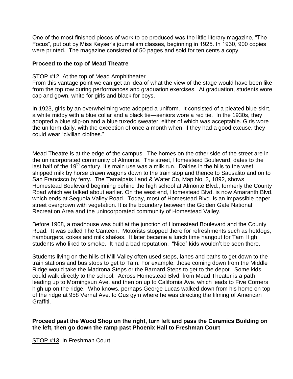One of the most finished pieces of work to be produced was the little literary magazine, "The Focus‖, put out by Miss Keyser's journalism classes, beginning in 1925. In 1930, 900 copies were printed. The magazine consisted of 50 pages and sold for ten cents a copy.

#### **Proceed to the top of Mead Theatre**

#### STOP #12 At the top of Mead Amphitheater

From this vantage point we can get an idea of what the view of the stage would have been like from the top row during performances and graduation exercises. At graduation, students wore cap and gown, white for girls and black for boys.

In 1923, girls by an overwhelming vote adopted a uniform. It consisted of a pleated blue skirt, a white middy with a blue collar and a black tie—seniors wore a red tie. In the 1930s, they adopted a blue slip-on and a blue tuxedo sweater, either of which was acceptable. Girls wore the uniform daily, with the exception of once a month when, if they had a good excuse, they could wear "civilian clothes."

Mead Theatre is at the edge of the campus. The homes on the other side of the street are in the unincorporated community of Almonte. The street, Homestead Boulevard, dates to the last half of the 19<sup>th</sup> century. It's main use was a milk run. Dairies in the hills to the west shipped milk by horse drawn wagons down to the train stop and thence to Sausalito and on to San Francisco by ferry. The Tamalpais Land & Water Co, Map No. 3, 1892, shows Homestead Boulevard beginning behind the high school at Almonte Blvd., formerly the County Road which we talked about earlier. On the west end, Homestead Blvd. is now Amaranth Blvd. which ends at Sequoia Valley Road. Today, most of Homestead Blvd. is an impassible paper street overgrown with vegetation. It is the boundary between the Golden Gate National Recreation Area and the unincorporated community of Homestead Valley.

Before 1908, a roadhouse was built at the junction of Homestead Boulevard and the County Road. It was called The Canteen. Motorists stopped there for refreshments such as hotdogs, hamburgers, cokes and milk shakes. It later became a lunch time hangout for Tam High students who liked to smoke. It had a bad reputation. "Nice" kids wouldn't be seen there.

Students living on the hills of Mill Valley often used steps, lanes and paths to get down to the train stations and bus stops to get to Tam. For example, those coming down from the Middle Ridge would take the Madrona Steps or the Barnard Steps to get to the depot. Some kids could walk directly to the school. Across Homestead Blvd. from Mead Theater is a path leading up to Morningsun Ave. and then on up to California Ave. which leads to Five Corners high up on the ridge. Who knows, perhaps George Lucas walked down from his home on top of the ridge at 958 Vernal Ave. to Gus gym where he was directing the filming of American Graffiti.

#### **Proceed past the Wood Shop on the right, turn left and pass the Ceramics Building on the left, then go down the ramp past Phoenix Hall to Freshman Court**

STOP #13 in Freshman Court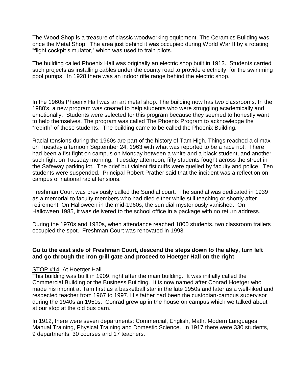The Wood Shop is a treasure of classic woodworking equipment. The Ceramics Building was once the Metal Shop. The area just behind it was occupied during World War II by a rotating "flight cockpit simulator," which was used to train pilots.

The building called Phoenix Hall was originally an electric shop built in 1913. Students carried such projects as installing cables under the county road to provide electricity for the swimming pool pumps. In 1928 there was an indoor rifle range behind the electric shop.

In the 1960s Phoenix Hall was an art metal shop. The building now has two classrooms. In the 1980's, a new program was created to help students who were struggling academically and emotionally. Students were selected for this program because they seemed to honestly want to help themselves. The program was called The Phoenix Program to acknowledge the ―rebirth‖ of these students. The building came to be called the Phoenix Building.

Racial tensions during the 1960s are part of the history of Tam High. Things reached a climax on Tuesday afternoon September 24, 1963 with what was reported to be a race riot. There had been a fist fight on campus on Monday between a white and a black student, and another such fight on Tuesday morning. Tuesday afternoon, fifty students fought across the street in the Safeway parking lot. The brief but violent fisticuffs were quelled by faculty and police. Ten students were suspended. Principal Robert Prather said that the incident was a reflection on campus of national racial tensions.

Freshman Court was previously called the Sundial court. The sundial was dedicated in 1939 as a memorial to faculty members who had died either while still teaching or shortly after retirement. On Halloween in the mid-1960s, the sun dial mysteriously vanished. On Halloween 1985, it was delivered to the school office in a package with no return address.

During the 1970s and 1980s, when attendance reached 1800 students, two classroom trailers occupied the spot. Freshman Court was renovated in 1993.

#### **Go to the east side of Freshman Court, descend the steps down to the alley, turn left and go through the iron grill gate and proceed to Hoetger Hall on the right**

#### STOP #14 At Hoetger Hall

This building was built in 1909, right after the main building. It was initially called the Commercial Building or the Business Building. It is now named after Conrad Hoetger who made his imprint at Tam first as a basketball star in the late 1950s and later as a well-liked and respected teacher from 1967 to 1997. His father had been the custodian-campus supervisor during the 1940s an 1950s. Conrad grew up in the house on campus which we talked about at our stop at the old bus barn.

In 1912, there were seven departments: Commercial, English, Math, Modern Languages, Manual Training, Physical Training and Domestic Science. In 1917 there were 330 students, 9 departments, 30 courses and 17 teachers.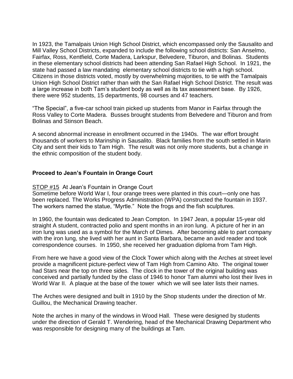In 1923, the Tamalpais Union High School District, which encompassed only the Sausalito and Mill Valley School Districts, expanded to include the following school districts: San Anselmo, Fairfax, Ross, Kentfield, Corte Madera, Larkspur, Belvedere, Tiburon, and Bolinas. Students in these elementary school districts had been attending San Rafael High School. In 1921, the state had passed a law mandating elementary school districts to tie with a high school. Citizens in those districts voted, mostly by overwhelming majorities, to tie with the Tamalpais Union High School District rather than with the San Rafael High School District. The result was a large increase in both Tam's student body as well as its tax assessment base. By 1926, there were 952 students, 15 departments, 98 courses and 47 teachers.

―The Special‖, a five-car school train picked up students from Manor in Fairfax through the Ross Valley to Corte Madera. Busses brought students from Belvedere and Tiburon and from Bolinas and Stinson Beach.

A second abnormal increase in enrollment occurred in the 1940s. The war effort brought thousands of workers to Marinship in Sausalito. Black families from the south settled in Marin City and sent their kids to Tam High. The result was not only more students, but a change in the ethnic composition of the student body.

#### **Proceed to Jean's Fountain in Orange Court**

#### STOP #15 At Jean's Fountain in Orange Court

Sometime before World War I, four orange trees were planted in this court—only one has been replaced. The Works Progress Administration (WPA) constructed the fountain in 1937. The workers named the statue, "Myrtle." Note the frogs and the fish sculptures.

In 1960, the fountain was dedicated to Jean Compton. In 1947 Jean, a popular 15-year old straight A student, contracted polio and spent months in an iron lung. A picture of her in an iron lung was used as a symbol for the March of Dimes. After becoming able to part company with the iron lung, she lived with her aunt in Santa Barbara, became an avid reader and took correspondence courses. In 1950, she received her graduation diploma from Tam High.

From here we have a good view of the Clock Tower which along with the Arches at street level provide a magnificent picture-perfect view of Tam High from Camino Alto. The original tower had Stars near the top on three sides. The clock in the tower of the original building was conceived and partially funded by the class of 1946 to honor Tam alumni who lost their lives in World War II. A plaque at the base of the tower which we will see later lists their names.

The Arches were designed and built in 1910 by the Shop students under the direction of Mr. Guillou, the Mechanical Drawing teacher.

Note the arches in many of the windows in Wood Hall. These were designed by students under the direction of Gerald T. Wendering, head of the Mechanical Drawing Department who was responsible for designing many of the buildings at Tam.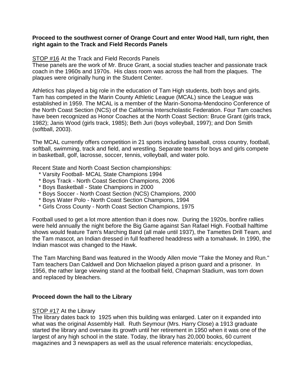#### **Proceed to the southwest corner of Orange Court and enter Wood Hall, turn right, then right again to the Track and Field Records Panels**

#### STOP #16 At the Track and Field Records Panels

These panels are the work of Mr. Bruce Grant, a social studies teacher and passionate track coach in the 1960s and 1970s. His class room was across the hall from the plaques. The plaques were originally hung in the Student Center.

Athletics has played a big role in the education of Tam High students, both boys and girls. Tam has competed in the Marin County Athletic League (MCAL) since the League was established in 1959. The MCAL is a member of the Marin-Sonoma-Mendocino Conference of the North Coast Section (NCS) of the California Interscholastic Federation. Four Tam coaches have been recognized as Honor Coaches at the North Coast Section: Bruce Grant (girls track, 1982); Janis Wood (girls track, 1985); Beth Juri (boys volleyball, 1997); and Don Smith (softball, 2003).

The MCAL currently offers competition in 21 sports including baseball, cross country, football, softball, swimming, track and field, and wrestling. Separate teams for boys and girls compete in basketball, golf, lacrosse, soccer, tennis, volleyball, and water polo.

Recent State and North Coast Section championships:

- \* Varsity Football- MCAL State Champions 1994
- \* Boys Track North Coast Section Champions, 2006
- \* Boys Basketball State Champions in 2000
- \* Boys Soccer North Coast Section (NCS) Champions, 2000
- \* Boys Water Polo North Coast Section Champions, 1994
- \* Girls Cross County North Coast Section Champions, 1975

Football used to get a lot more attention than it does now. During the 1920s, bonfire rallies were held annually the night before the Big Game against San Rafael High. Football halftime shows would feature Tam's Marching Band (all male until 1937), the Tamettes Drill Team, and the Tam mascot, an Indian dressed in full feathered headdress with a tomahawk. In 1990, the Indian mascot was changed to the Hawk.

The Tam Marching Band was featured in the Woody Allen movie "Take the Money and Run." Tam teachers Dan Caldwell and Don Michaelion played a prison guard and a prisoner. In 1956, the rather large viewing stand at the football field, Chapman Stadium, was torn down and replaced by bleachers.

#### **Proceed down the hall to the Library**

#### **STOP #17 At the Library**

The library dates back to 1925 when this building was enlarged. Later on it expanded into what was the original Assembly Hall. Ruth Seymour (Mrs. Harry Close) a 1913 graduate started the library and oversaw its growth until her retirement in 1950 when it was one of the largest of any high school in the state. Today, the library has 20,000 books, 60 current magazines and 3 newspapers as well as the usual reference materials: encyclopedias,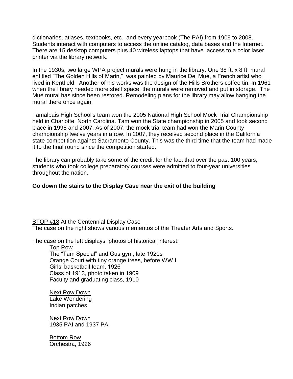dictionaries, atlases, textbooks, etc., and every yearbook (The PAI) from 1909 to 2008. Students interact with computers to access the online catalog, data bases and the Internet. There are 15 desktop computers plus 40 wireless laptops that have access to a color laser printer via the library network.

In the 1930s, two large WPA project murals were hung in the library. One 38 ft. x 8 ft. mural entitled "The Golden Hills of Marin," was painted by Maurice Del Mué, a French artist who lived in Kentfield. Another of his works was the design of the Hills Brothers coffee tin. In 1961 when the library needed more shelf space, the murals were removed and put in storage. The Mué mural has since been restored. Remodeling plans for the library may allow hanging the mural there once again.

Tamalpais High School's team won the 2005 National High School Mock Trial Championship held in Charlotte, North Carolina. Tam won the State championship in 2005 and took second place in 1998 and 2007. As of 2007, the mock trial team had won the Marin County championship twelve years in a row. In 2007, they received second place in the California state competition against Sacramento County. This was the third time that the team had made it to the final round since the competition started.

The library can probably take some of the credit for the fact that over the past 100 years, students who took college preparatory courses were admitted to four-year universities throughout the nation.

#### **Go down the stairs to the Display Case near the exit of the building**

STOP #18 At the Centennial Display Case The case on the right shows various mementos of the Theater Arts and Sports.

The case on the left displays photos of historical interest:

Top Row The "Tam Special" and Gus gym, late 1920s Orange Court with tiny orange trees, before WW I Girls' basketball team, 1926 Class of 1913, photo taken in 1909 Faculty and graduating class, 1910

Next Row Down Lake Wendering Indian patches

Next Row Down 1935 PAI and 1937 PAI

Bottom Row Orchestra, 1926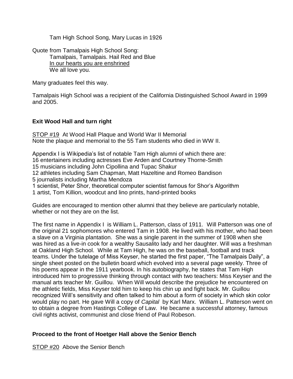Tam High School Song, Mary Lucas in 1926

Quote from Tamalpais High School Song: Tamalpais, Tamalpais. Hail Red and Blue In our hearts you are enshrined We all love you.

Many graduates feel this way.

Tamalpais High School was a recipient of the California Distinguished School Award in 1999 and 2005.

#### **Exit Wood Hall and turn right**

STOP #19 At Wood Hall Plaque and World War II Memorial Note the plaque and memorial to the 55 Tam students who died in WW II.

Appendix I is Wikipedia's list of notable Tam High alumni of which there are: 16 entertainers including actresses Eve Arden and Courtney Thorne-Smith 15 musicians including John Cipollina and Tupac Shakur 12 athletes including Sam Chapman, Matt Hazeltine and Romeo Bandison 5 journalists including Martha Mendoza 1 scientist, Peter Shor, theoretical computer scientist famous for Shor's Algorithm 1 artist, Tom Killion, woodcut and lino prints, hand-printed books

Guides are encouraged to mention other alumni that they believe are particularly notable, whether or not they are on the list.

The first name in Appendix I is William L. Patterson, class of 1911. Will Patterson was one of the original 21 sophomores who entered Tam in 1908. He lived with his mother, who had been a slave on a Virginia plantation. She was a single parent in the summer of 1908 when she was hired as a live-in cook for a wealthy Sausalito lady and her daughter. Will was a freshman at Oakland High School. While at Tam High, he was on the baseball, football and track teams. Under the tutelage of Miss Keyser, he started the first paper, "The Tamalpais Daily", a single sheet posted on the bulletin board which evolved into a several page weekly. Three of his poems appear in the 1911 yearbook. In his autobiography, he states that Tam High introduced him to progressive thinking through contact with two teachers: Miss Keyser and the manual arts teacher Mr. Guillou. When Will would describe the prejudice he encountered on the athletic fields, Miss Keyser told him to keep his chin up and fight back. Mr. Guillou recognized Will's sensitivity and often talked to him about a form of society in which skin color would play no part. He gave Will a copy of *Capital* by Karl Marx. William L. Patterson went on to obtain a degree from Hastings College of Law. He became a successful attorney, famous civil rights activist, communist and close friend of Paul Robeson.

#### **Proceed to the front of Hoetger Hall above the Senior Bench**

STOP #20 Above the Senior Bench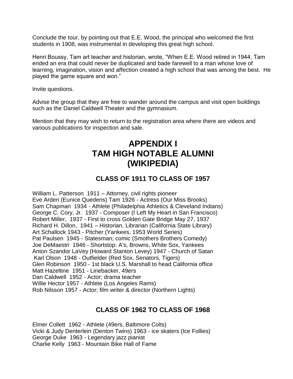Conclude the tour, by pointing out that E.E. Wood, the principal who welcomed the first students in 1908, was instrumental in developing this great high school.

Henri Boussy, Tam art teacher and historian, wrote, "When E.E. Wood retired in 1944, Tam ended an era that could never be duplicated and bade farewell to a man whose love of learning, imagination, vision and affection created a high school that was among the best. He played the game square and won."

Invite questions.

Advise the group that they are free to wander around the campus and visit open buildings such as the Daniel Caldwell Theater and the gymnasium.

Mention that they may wish to return to the registration area where there are videos and various publications for inspection and sale.

## **APPENDIX I TAM HIGH NOTABLE ALUMNI (WIKIPEDIA)**

## **CLASS OF 1911 TO CLASS OF 1957**

William L. Patterson 1911 – Attorney, civil rights pioneer Eve Arden (Eunice Quedens) Tam 1926 - Actress (Our Miss Brooks) Sam Chapman 1934 - Athlete (Philadelphia Athletics & Cleveland Indians) George C. Cory, Jr. 1937 - Composer (I Left My Heart in San Francisco) Robert Miller, 1937 - First to cross Golden Gate Bridge May 27, 1937 Richard H. Dillon, 1941 – Historian, Librarian (California State Library) Art Schallock 1943 - Pitcher (Yankees, 1953 World Series) Pat Paulsen 1945 - Statesman; comic (Smothers Brothers Comedy) Joe DeMaestri 1946 - Shortstop: A's, Browns, White Sox, Yankees Anton Szandor LaVey (Howard Stanton Levey) 1947 - Church of Satan Karl Olson 1948 - Outfielder (Red Sox, Senators, Tigers) Glen Robinson 1950 - 1st black U.S. Marshall to head California office Matt Hazeltine 1951 - Linebacker, 49ers Dan Caldwell 1952 - Actor; drama teacher Willie Hector 1957 - Athlete (Los Angeles Rams) Rob Nilsson 1957 - Actor; film writer & director (Northern Lights)

## **CLASS OF 1962 TO CLASS OF 1968**

Elmer Collett 1962 - Athlete (49ers, Baltimore Colts) Vicki & Judy Denterlein (Denton Twins) 1963 - ice skaters (Ice Follies) George Duke 1963 - Legendary jazz pianist Charlie Kelly 1963 - Mountain Bike Hall of Fame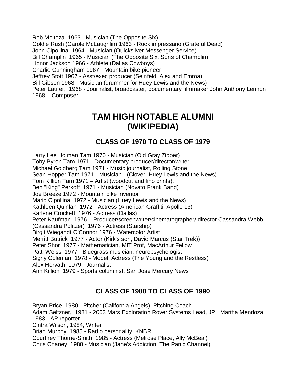Rob Moitoza 1963 - Musician (The Opposite Six) Goldie Rush (Carole McLaughlin) 1963 - Rock impressario (Grateful Dead) John Cipollina 1964 - Musician (Quicksilver Messenger Service) Bill Champlin 1965 - Musician (The Opposite Six, Sons of Champlin) Honor Jackson 1966 - Athlete (Dallas Cowboys) Charlie Cunningham 1967 - Mountain bike pioneer Jeffrey Stott 1967 - Asst/exec producer (Seinfeld, Alex and Emma) Bill Gibson 1968 - Musician (drummer for Huey Lewis and the News) Peter Laufer, 1968 - Journalist, broadcaster, documentary filmmaker John Anthony Lennon 1968 – Composer

## **TAM HIGH NOTABLE ALUMNI (WIKIPEDIA)**

### **CLASS OF 1970 TO CLASS OF 1979**

Larry Lee Holman Tam 1970 - Musician (Old Gray Zipper) Toby Byron Tam 1971 - Documentary producer/director/writer Michael Goldberg Tam 1971 - Music journalist, Rolling Stone Sean Hopper Tam 1971 - Musician - (Clover, Huey Lewis and the News) Tom Killion Tam 1971 – Artist (woodcut and lino prints), Ben "King" Perkoff 1971 - Musician (Novato Frank Band) Joe Breeze 1972 - Mountain bike inventor Mario Cipollina 1972 - Musician (Huey Lewis and the News) Kathleen Quinlan 1972 - Actress (American Graffiti, Apollo 13) Karlene Crockett 1976 - Actress (Dallas) Peter Kaufman 1976 – Producer/screenwriter/cinematographer/ director Cassandra Webb (Cassandra Politzer) 1976 - Actress (Starship) Birgit Wiegandt O'Connor 1976 - Watercolor Artist Merritt Butrick 1977 - Actor (Kirk's son, David Marcus (Star Trek)) Peter Shor 1977 - Mathematician, MIT Prof, MacArthur Fellow Patti Weiss 1977 - Bluegrass musician, neuropsychologist Signy Coleman 1978 - Model, Actress (The Young and the Restless) Alex Horvath 1979 - Journalist Ann Killion 1979 - Sports columnist, San Jose Mercury News

## **CLASS OF 1980 TO CLASS OF 1990**

Bryan Price 1980 - Pitcher (California Angels), Pitching Coach Adam Seltzner, 1981 - 2003 Mars Exploration Rover Systems Lead, JPL Martha Mendoza, 1983 - AP reporter Cintra Wilson, 1984, Writer Brian Murphy 1985 - Radio personality, KNBR Courtney Thorne-Smith 1985 - Actress (Melrose Place, Ally McBeal) Chris Chaney 1988 - Musician (Jane's Addiction, The Panic Channel)